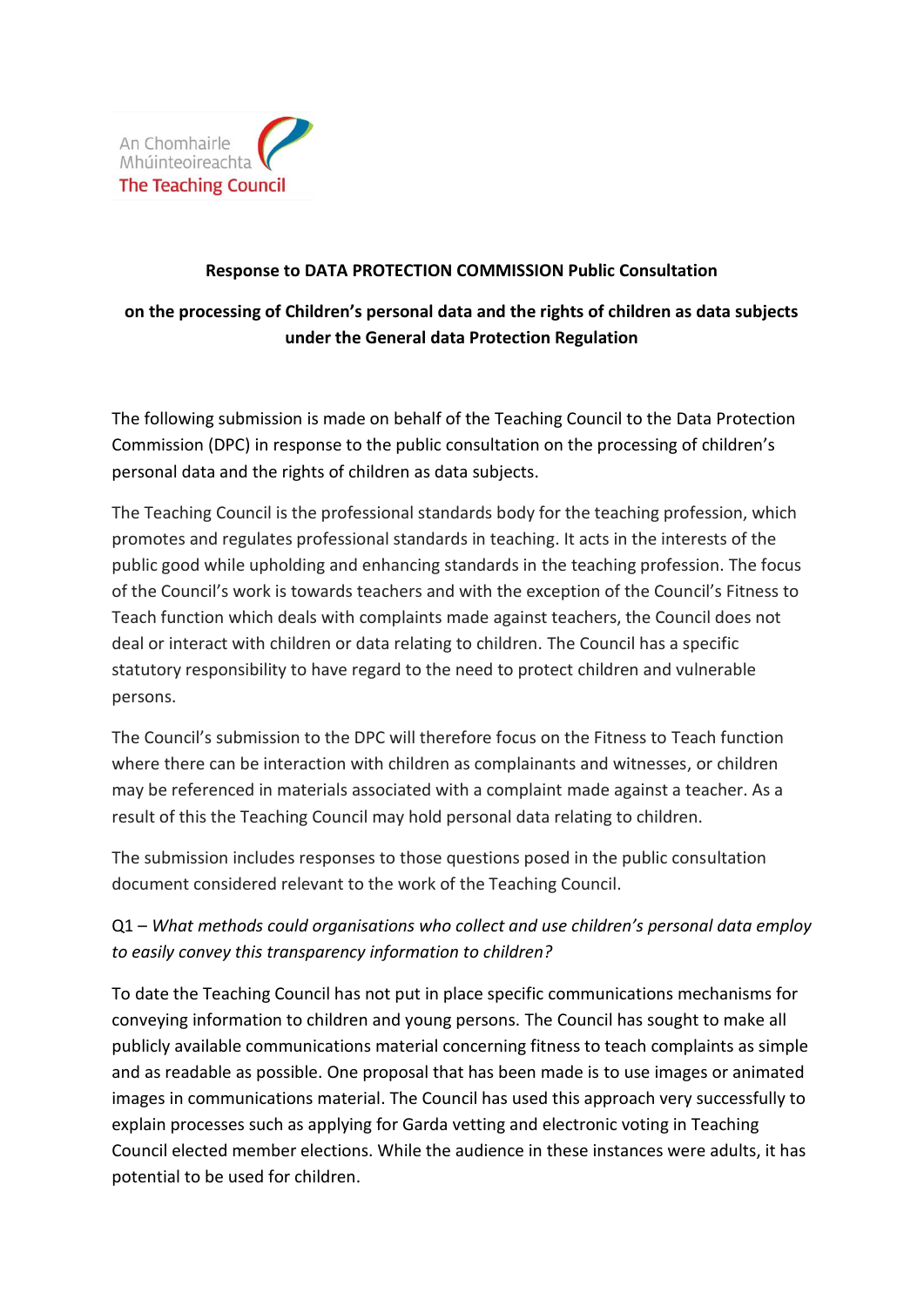

## **Response to DATA PROTECTION COMMISSION Public Consultation**

## **on the processing of Children's personal data and the rights of children as data subjects under the General data Protection Regulation**

The following submission is made on behalf of the Teaching Council to the Data Protection Commission (DPC) in response to the public consultation on the processing of children's personal data and the rights of children as data subjects.

The Teaching Council is the professional standards body for the teaching profession, which promotes and regulates professional standards in teaching. It acts in the interests of the public good while upholding and enhancing standards in the teaching profession. The focus of the Council's work is towards teachers and with the exception of the Council's Fitness to Teach function which deals with complaints made against teachers, the Council does not deal or interact with children or data relating to children. The Council has a specific statutory responsibility to have regard to the need to protect children and vulnerable persons.

The Council's submission to the DPC will therefore focus on the Fitness to Teach function where there can be interaction with children as complainants and witnesses, or children may be referenced in materials associated with a complaint made against a teacher. As a result of this the Teaching Council may hold personal data relating to children.

The submission includes responses to those questions posed in the public consultation document considered relevant to the work of the Teaching Council.

## Q1 – *What methods could organisations who collect and use children's personal data employ to easily convey this transparency information to children?*

To date the Teaching Council has not put in place specific communications mechanisms for conveying information to children and young persons. The Council has sought to make all publicly available communications material concerning fitness to teach complaints as simple and as readable as possible. One proposal that has been made is to use images or animated images in communications material. The Council has used this approach very successfully to explain processes such as applying for Garda vetting and electronic voting in Teaching Council elected member elections. While the audience in these instances were adults, it has potential to be used for children.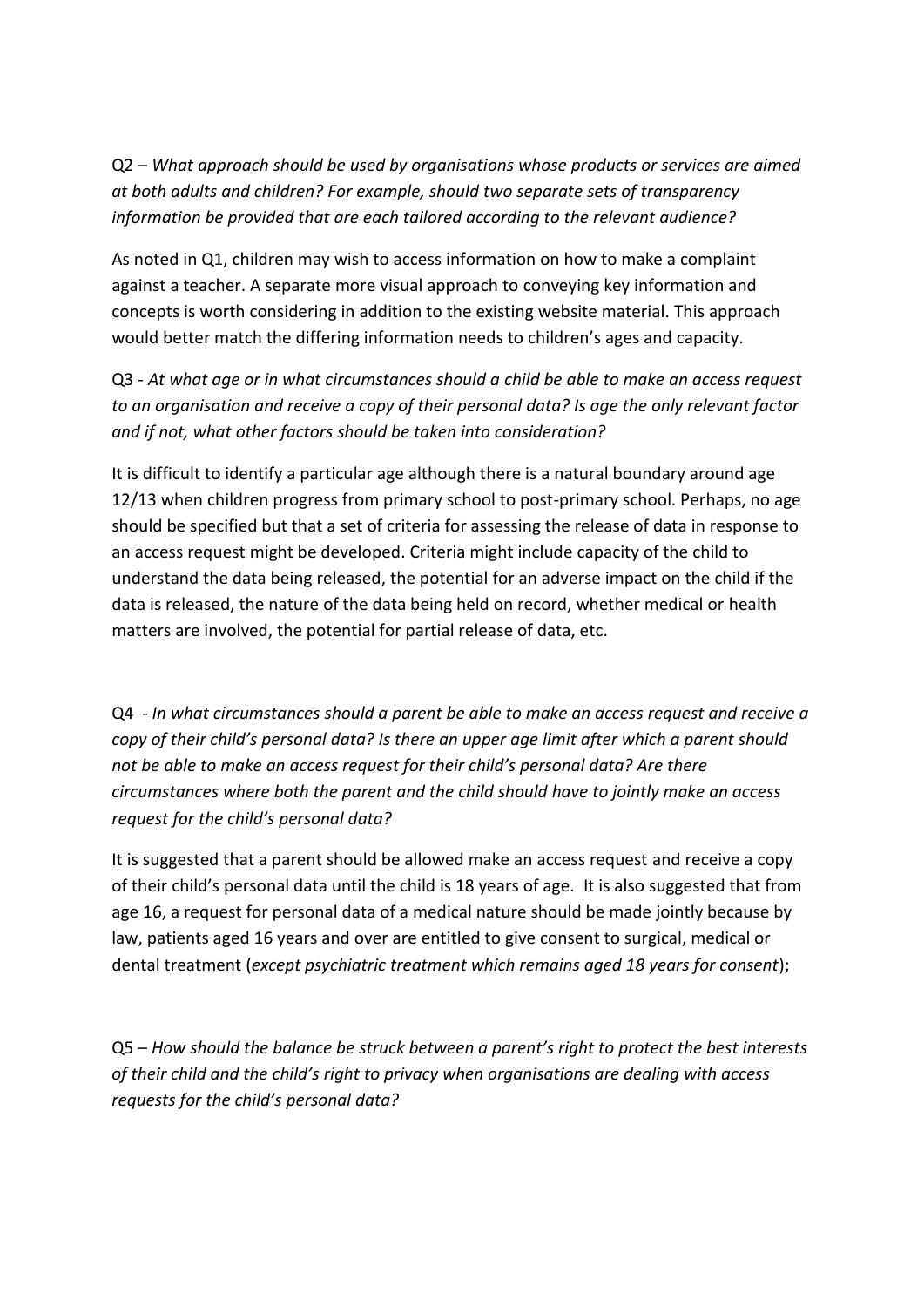Q2 – *What approach should be used by organisations whose products or services are aimed at both adults and children? For example, should two separate sets of transparency information be provided that are each tailored according to the relevant audience?*

As noted in Q1, children may wish to access information on how to make a complaint against a teacher. A separate more visual approach to conveying key information and concepts is worth considering in addition to the existing website material. This approach would better match the differing information needs to children's ages and capacity.

Q3 - *At what age or in what circumstances should a child be able to make an access request to an organisation and receive a copy of their personal data? Is age the only relevant factor and if not, what other factors should be taken into consideration?*

It is difficult to identify a particular age although there is a natural boundary around age 12/13 when children progress from primary school to post-primary school. Perhaps, no age should be specified but that a set of criteria for assessing the release of data in response to an access request might be developed. Criteria might include capacity of the child to understand the data being released, the potential for an adverse impact on the child if the data is released, the nature of the data being held on record, whether medical or health matters are involved, the potential for partial release of data, etc.

Q4 - *In what circumstances should a parent be able to make an access request and receive a copy of their child's personal data? Is there an upper age limit after which a parent should not be able to make an access request for their child's personal data? Are there circumstances where both the parent and the child should have to jointly make an access request for the child's personal data?*

It is suggested that a parent should be allowed make an access request and receive a copy of their child's personal data until the child is 18 years of age. It is also suggested that from age 16, a request for personal data of a medical nature should be made jointly because by law, patients aged 16 years and over are entitled to give consent to surgical, medical or dental treatment (*except psychiatric treatment which remains aged 18 years for consent*);

Q5 – *How should the balance be struck between a parent's right to protect the best interests of their child and the child's right to privacy when organisations are dealing with access requests for the child's personal data?*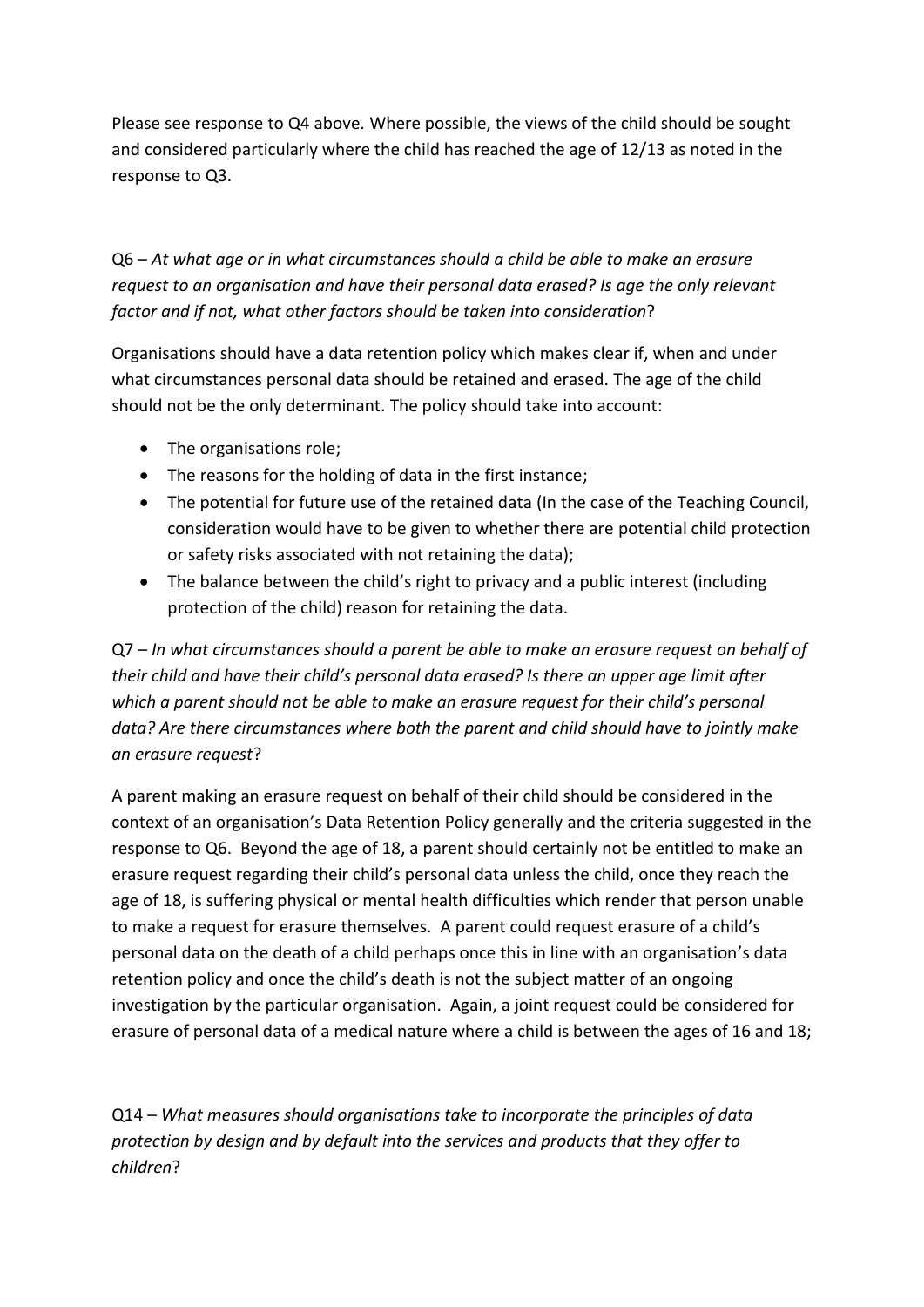Please see response to Q4 above*.* Where possible, the views of the child should be sought and considered particularly where the child has reached the age of 12/13 as noted in the response to Q3.

Q6 – *At what age or in what circumstances should a child be able to make an erasure request to an organisation and have their personal data erased? Is age the only relevant factor and if not, what other factors should be taken into consideration*?

Organisations should have a data retention policy which makes clear if, when and under what circumstances personal data should be retained and erased. The age of the child should not be the only determinant. The policy should take into account:

- The organisations role;
- The reasons for the holding of data in the first instance;
- The potential for future use of the retained data (In the case of the Teaching Council, consideration would have to be given to whether there are potential child protection or safety risks associated with not retaining the data);
- The balance between the child's right to privacy and a public interest (including protection of the child) reason for retaining the data.

Q7 *– In what circumstances should a parent be able to make an erasure request on behalf of their child and have their child's personal data erased? Is there an upper age limit after which a parent should not be able to make an erasure request for their child's personal data? Are there circumstances where both the parent and child should have to jointly make an erasure request*?

A parent making an erasure request on behalf of their child should be considered in the context of an organisation's Data Retention Policy generally and the criteria suggested in the response to Q6. Beyond the age of 18, a parent should certainly not be entitled to make an erasure request regarding their child's personal data unless the child, once they reach the age of 18, is suffering physical or mental health difficulties which render that person unable to make a request for erasure themselves. A parent could request erasure of a child's personal data on the death of a child perhaps once this in line with an organisation's data retention policy and once the child's death is not the subject matter of an ongoing investigation by the particular organisation. Again, a joint request could be considered for erasure of personal data of a medical nature where a child is between the ages of 16 and 18;

Q14 – *What measures should organisations take to incorporate the principles of data protection by design and by default into the services and products that they offer to children*?